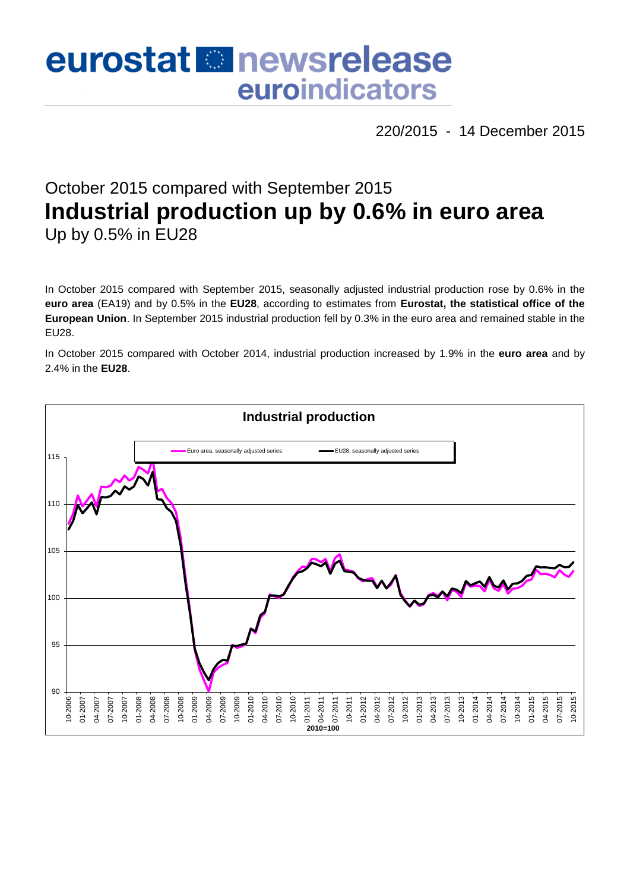# eurostat **Et newsrelease** euroindicators

220/2015 - 14 December 2015

# October 2015 compared with September 2015 **Industrial production up by 0.6% in euro area** Up by 0.5% in EU28

In October 2015 compared with September 2015, seasonally adjusted industrial production rose by 0.6% in the **euro area** (EA19) and by 0.5% in the **EU28**, according to estimates from **Eurostat, the statistical office of the European Union**. In September 2015 industrial production fell by 0.3% in the euro area and remained stable in the EU28.

In October 2015 compared with October 2014, industrial production increased by 1.9% in the **euro area** and by 2.4% in the **EU28**.

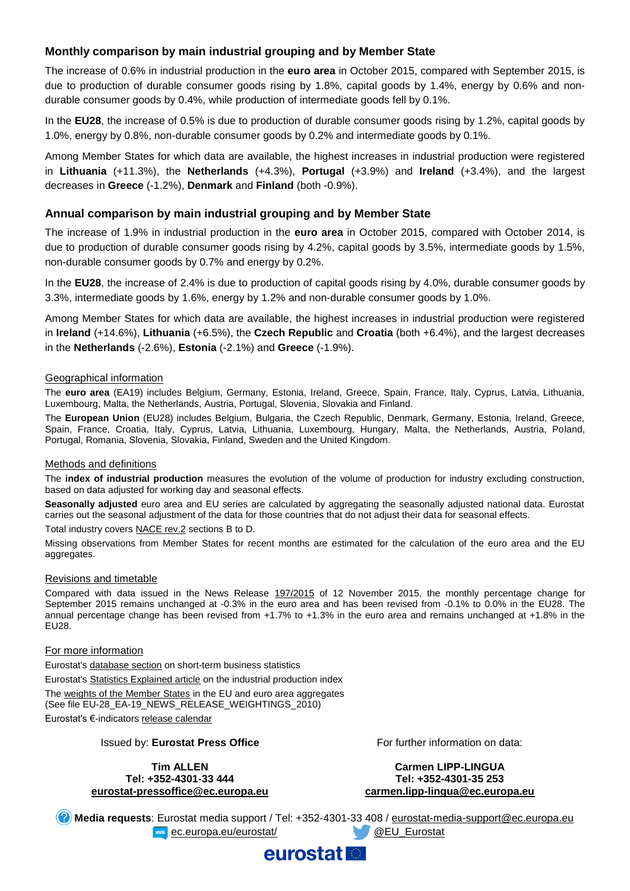# **Monthly comparison by main industrial grouping and by Member State**

The increase of 0.6% in industrial production in the **euro area** in October 2015, compared with September 2015, is due to production of durable consumer goods rising by 1.8%, capital goods by 1.4%, energy by 0.6% and nondurable consumer goods by 0.4%, while production of intermediate goods fell by 0.1%.

In the **EU28**, the increase of 0.5% is due to production of durable consumer goods rising by 1.2%, capital goods by 1.0%, energy by 0.8%, non-durable consumer goods by 0.2% and intermediate goods by 0.1%.

Among Member States for which data are available, the highest increases in industrial production were registered in **Lithuania** (+11.3%), the **Netherlands** (+4.3%), **Portugal** (+3.9%) and **Ireland** (+3.4%), and the largest decreases in **Greece** (-1.2%), **Denmark** and **Finland** (both -0.9%).

## **Annual comparison by main industrial grouping and by Member State**

The increase of 1.9% in industrial production in the **euro area** in October 2015, compared with October 2014, is due to production of durable consumer goods rising by 4.2%, capital goods by 3.5%, intermediate goods by 1.5%, non-durable consumer goods by 0.7% and energy by 0.2%.

In the **EU28**, the increase of 2.4% is due to production of capital goods rising by 4.0%, durable consumer goods by 3.3%, intermediate goods by 1.6%, energy by 1.2% and non-durable consumer goods by 1.0%.

Among Member States for which data are available, the highest increases in industrial production were registered in **Ireland** (+14.6%), **Lithuania** (+6.5%), the **Czech Republic** and **Croatia** (both +6.4%), and the largest decreases in the **Netherlands** (-2.6%), **Estonia** (-2.1%) and **Greece** (-1.9%).

#### Geographical information

The **euro area** (EA19) includes Belgium, Germany, Estonia, Ireland, Greece, Spain, France, Italy, Cyprus, Latvia, Lithuania, Luxembourg, Malta, the Netherlands, Austria, Portugal, Slovenia, Slovakia and Finland.

The **European Union** (EU28) includes Belgium, Bulgaria, the Czech Republic, Denmark, Germany, Estonia, Ireland, Greece, Spain, France, Croatia, Italy, Cyprus, Latvia, Lithuania, Luxembourg, Hungary, Malta, the Netherlands, Austria, Poland, Portugal, Romania, Slovenia, Slovakia, Finland, Sweden and the United Kingdom.

#### Methods and definitions

The **index of industrial production** measures the evolution of the volume of production for industry excluding construction, based on data adjusted for working day and seasonal effects.

**Seasonally adjusted** euro area and EU series are calculated by aggregating the seasonally adjusted national data. Eurostat carries out the seasonal adjustment of the data for those countries that do not adjust their data for seasonal effects.

Total industry covers [NACE rev.2](http://ec.europa.eu/eurostat/ramon/nomenclatures/index.cfm?TargetUrl=LST_NOM_DTL&StrNom=NACE_REV2&StrLanguageCode=EN&IntPcKey=&StrLayoutCode=HIERARCHIC) sections B to D.

Missing observations from Member States for recent months are estimated for the calculation of the euro area and the EU aggregates.

#### Revisions and timetable

Compared with data issued in the News Release [197/2015](http://ec.europa.eu/eurostat/documents/2995521/7073843/4-12112015-AP-EN.pdf/df0f99b6-c2f8-4224-8680-3ad158812d9c) of 12 November 2015, the monthly percentage change for September 2015 remains unchanged at -0.3% in the euro area and has been revised from -0.1% to 0.0% in the EU28. The annual percentage change has been revised from +1.7% to +1.3% in the euro area and remains unchanged at +1.8% in the EU28.

#### For more information

Eurostat's [database section](http://ec.europa.eu/eurostat/web/short-term-business-statistics/data/database) on short-term business statistics Eurostat's [Statistics Explained article](http://ec.europa.eu/eurostat/statistics-explained/index.php/Industrial_production_(volume)_index_overview) on the industrial production index Th[e weights of the Member States](https://circabc.europa.eu/w/browse/5e6d1e48-056c-4c6a-8278-3ab138bcf575) in the EU and euro area aggregates (See file EU-28\_EA-19\_NEWS\_RELEASE\_WEIGHTINGS\_2010) Eurostat's €-indicators [release calendar](http://ec.europa.eu/eurostat/news/release-calendar)

Issued by: **Eurostat Press Office**

**Tim ALLEN Tel: +352-4301-33 444 [eurostat-pressoffice@ec.europa.eu](mailto:eurostat-pressoffice@ec.europa.eu)** For further information on data:

#### **Carmen LIPP-LINGUA Tel: +352-4301-35 253 [carmen.lipp-lingua@ec.europa.eu](mailto:carmen.lipp-lingua@ec.europa.eu)**

**Media requests**: Eurostat media support / Tel: +352-4301-33 408 / [eurostat-media-support@ec.europa.eu](mailto:eurostat-media-support@ec.europa.eu) **Example 2.** Europa.eu/eurostat/ **Access 2. Access 2. Access 2. Access** 2. Access 2. Access 2. Access 2. Access 2. Access 2. Access 2. Access 2. Access 2. Access 2. Access 2. Access 2. Access 2. Access 2. Access 2. Access

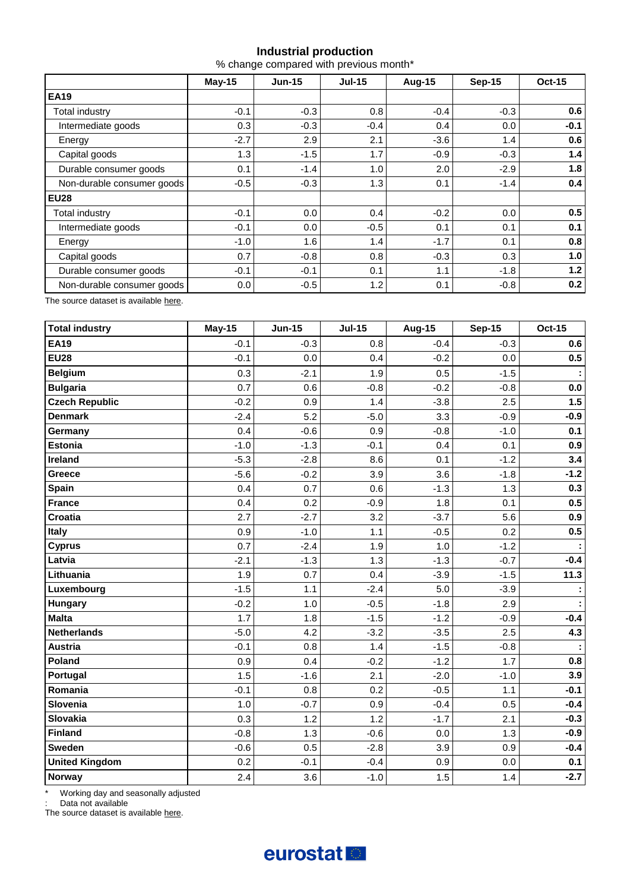# **Industrial production**

% change compared with previous month\*

|                            | $May-15$ | <b>Jun-15</b> | $Jul-15$ | <b>Aug-15</b> | <b>Sep-15</b> | <b>Oct-15</b> |
|----------------------------|----------|---------------|----------|---------------|---------------|---------------|
| <b>EA19</b>                |          |               |          |               |               |               |
| Total industry             | $-0.1$   | $-0.3$        | 0.8      | $-0.4$        | $-0.3$        | 0.6           |
| Intermediate goods         | 0.3      | $-0.3$        | $-0.4$   | 0.4           | 0.0           | $-0.1$        |
| Energy                     | $-2.7$   | 2.9           | 2.1      | $-3.6$        | 1.4           | 0.6           |
| Capital goods              | 1.3      | $-1.5$        | 1.7      | $-0.9$        | $-0.3$        | 1.4           |
| Durable consumer goods     | 0.1      | $-1.4$        | 1.0      | 2.0           | $-2.9$        | 1.8           |
| Non-durable consumer goods | $-0.5$   | $-0.3$        | 1.3      | 0.1           | $-1.4$        | 0.4           |
| <b>EU28</b>                |          |               |          |               |               |               |
| Total industry             | $-0.1$   | 0.0           | 0.4      | $-0.2$        | 0.0           | 0.5           |
| Intermediate goods         | $-0.1$   | 0.0           | $-0.5$   | 0.1           | 0.1           | 0.1           |
| Energy                     | $-1.0$   | 1.6           | 1.4      | $-1.7$        | 0.1           | 0.8           |
| Capital goods              | 0.7      | $-0.8$        | 0.8      | $-0.3$        | 0.3           | 1.0           |
| Durable consumer goods     | $-0.1$   | $-0.1$        | 0.1      | 1.1           | $-1.8$        | 1.2           |
| Non-durable consumer goods | 0.0      | $-0.5$        | 1.2      | 0.1           | $-0.8$        | 0.2           |

The source dataset is available [here.](http://appsso.eurostat.ec.europa.eu/nui/show.do?query=BOOKMARK_DS-069601_QID_2B77704D_UID_-3F171EB0&layout=TIME,C,X,0;GEO,L,Y,0;NACE_R2,L,Y,1;INDIC_BT,L,Z,0;S_ADJ,L,Z,1;UNIT,L,Z,2;INDICATORS,C,Z,3;&zSelection=DS-069601INDIC_BT,PROD;DS-069601UNIT,PCH_PRE;DS-069601INDICATORS,OBS_FLAG;DS-069601S_ADJ,SWDA;&rankName1=UNIT_1_2_-1_2&rankName2=INDIC-BT_1_2_-1_2&rankName3=INDICATORS_1_2_-1_2&rankName4=S-ADJ_1_2_-1_2&rankName5=TIME_1_0_0_0&rankName6=GEO_1_2_0_1&rankName7=NACE-R2_1_2_1_1&sortC=ASC_-1_FIRST&rStp=&cStp=&rDCh=&cDCh=&rDM=true&cDM=true&footnes=false&empty=false&wai=false&time_mode=ROLLING&time_most_recent=true&lang=EN&cfo=%23%23%23%2C%23%23%23.%23%23%23)

| <b>Total industry</b> | <b>May-15</b> | <b>Jun-15</b> | <b>Jul-15</b> | <b>Aug-15</b> | <b>Sep-15</b> | <b>Oct-15</b> |
|-----------------------|---------------|---------------|---------------|---------------|---------------|---------------|
| <b>EA19</b>           | $-0.1$        | $-0.3$        | 0.8           | $-0.4$        | $-0.3$        | 0.6           |
| <b>EU28</b>           | $-0.1$        | 0.0           | 0.4           | $-0.2$        | 0.0           | 0.5           |
| <b>Belgium</b>        | 0.3           | $-2.1$        | 1.9           | 0.5           | $-1.5$        |               |
| <b>Bulgaria</b>       | 0.7           | 0.6           | $-0.8$        | $-0.2$        | $-0.8$        | 0.0           |
| <b>Czech Republic</b> | $-0.2$        | 0.9           | 1.4           | $-3.8$        | 2.5           | 1.5           |
| <b>Denmark</b>        | $-2.4$        | 5.2           | $-5.0$        | 3.3           | $-0.9$        | $-0.9$        |
| Germany               | 0.4           | $-0.6$        | 0.9           | $-0.8$        | $-1.0$        | 0.1           |
| <b>Estonia</b>        | $-1.0$        | $-1.3$        | $-0.1$        | 0.4           | 0.1           | 0.9           |
| Ireland               | $-5.3$        | $-2.8$        | 8.6           | 0.1           | $-1.2$        | 3.4           |
| Greece                | $-5.6$        | $-0.2$        | 3.9           | 3.6           | $-1.8$        | $-1.2$        |
| <b>Spain</b>          | 0.4           | 0.7           | 0.6           | $-1.3$        | 1.3           | 0.3           |
| <b>France</b>         | 0.4           | 0.2           | $-0.9$        | 1.8           | 0.1           | 0.5           |
| <b>Croatia</b>        | 2.7           | $-2.7$        | 3.2           | $-3.7$        | 5.6           | 0.9           |
| <b>Italy</b>          | 0.9           | $-1.0$        | 1.1           | $-0.5$        | 0.2           | 0.5           |
| <b>Cyprus</b>         | 0.7           | $-2.4$        | 1.9           | 1.0           | $-1.2$        |               |
| Latvia                | $-2.1$        | $-1.3$        | 1.3           | $-1.3$        | $-0.7$        | $-0.4$        |
| Lithuania             | 1.9           | 0.7           | 0.4           | $-3.9$        | $-1.5$        | 11.3          |
| Luxembourg            | $-1.5$        | 1.1           | $-2.4$        | 5.0           | $-3.9$        |               |
| Hungary               | $-0.2$        | 1.0           | $-0.5$        | $-1.8$        | 2.9           |               |
| <b>Malta</b>          | 1.7           | 1.8           | $-1.5$        | $-1.2$        | $-0.9$        | $-0.4$        |
| <b>Netherlands</b>    | $-5.0$        | 4.2           | $-3.2$        | $-3.5$        | 2.5           | 4.3           |
| <b>Austria</b>        | $-0.1$        | 0.8           | 1.4           | $-1.5$        | $-0.8$        |               |
| Poland                | 0.9           | 0.4           | $-0.2$        | $-1.2$        | 1.7           | 0.8           |
| Portugal              | 1.5           | $-1.6$        | 2.1           | $-2.0$        | $-1.0$        | 3.9           |
| Romania               | $-0.1$        | 0.8           | 0.2           | $-0.5$        | 1.1           | $-0.1$        |
| Slovenia              | 1.0           | $-0.7$        | 0.9           | $-0.4$        | 0.5           | $-0.4$        |
| Slovakia              | 0.3           | 1.2           | 1.2           | $-1.7$        | 2.1           | $-0.3$        |
| <b>Finland</b>        | $-0.8$        | 1.3           | $-0.6$        | 0.0           | 1.3           | $-0.9$        |
| Sweden                | $-0.6$        | 0.5           | $-2.8$        | 3.9           | 0.9           | $-0.4$        |
| <b>United Kingdom</b> | 0.2           | $-0.1$        | $-0.4$        | 0.9           | 0.0           | 0.1           |
| <b>Norway</b>         | 2.4           | 3.6           | $-1.0$        | 1.5           | 1.4           | $-2.7$        |

\* Working day and seasonally adjusted

: Data not available

The source dataset is availabl[e here.](http://appsso.eurostat.ec.europa.eu/nui/show.do?query=BOOKMARK_DS-069601_QID_7D7B447E_UID_-3F171EB0&layout=TIME,C,X,0;GEO,L,Y,0;INDIC_BT,L,Z,0;S_ADJ,L,Z,1;UNIT,L,Z,2;NACE_R2,L,Z,3;INDICATORS,C,Z,4;&zSelection=DS-069601NACE_R2,B-D;DS-069601INDIC_BT,PROD;DS-069601UNIT,PCH_PRE;DS-069601INDICATORS,OBS_FLAG;DS-069601S_ADJ,SWDA;&rankName1=UNIT_1_2_-1_2&rankName2=INDIC-BT_1_2_-1_2&rankName3=INDICATORS_1_2_-1_2&rankName4=S-ADJ_1_2_-1_2&rankName5=NACE-R2_1_2_1_1&rankName6=TIME_1_0_0_0&rankName7=GEO_1_2_0_1&sortC=ASC_-1_FIRST&rStp=&cStp=&rDCh=&cDCh=&rDM=true&cDM=true&footnes=false&empty=false&wai=false&time_mode=ROLLING&time_most_recent=true&lang=EN&cfo=%23%23%23%2C%23%23%23.%23%23%23)

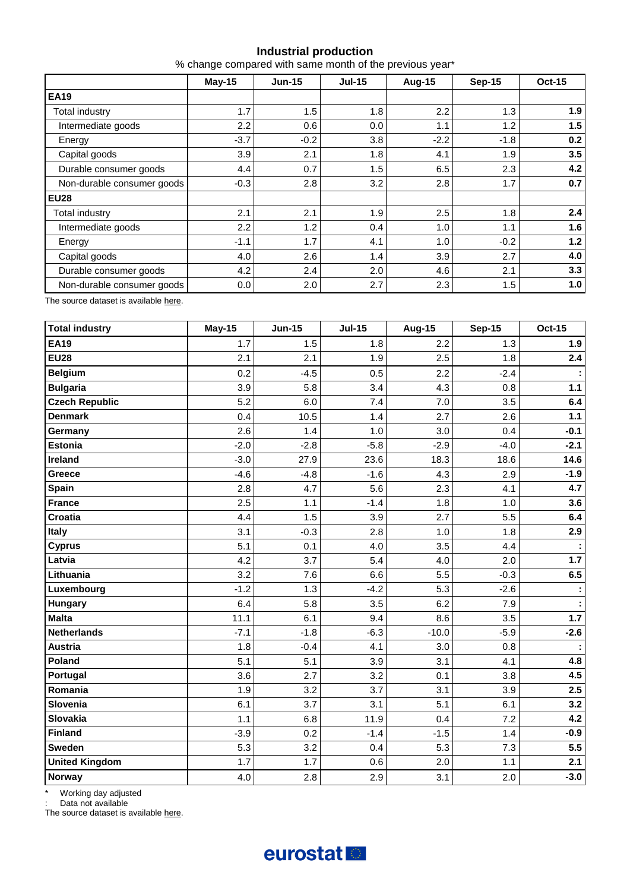# **Industrial production**

% change compared with same month of the previous year\*

|                            | <b>May-15</b> | <b>Jun-15</b> | <b>Jul-15</b> | <b>Aug-15</b> | <b>Sep-15</b> | <b>Oct-15</b> |  |
|----------------------------|---------------|---------------|---------------|---------------|---------------|---------------|--|
| <b>EA19</b>                |               |               |               |               |               |               |  |
| Total industry             | 1.7           | 1.5           | 1.8           | 2.2           | 1.3           | 1.9           |  |
| Intermediate goods         | 2.2           | 0.6           | 0.0           | 1.1           | 1.2           | 1.5           |  |
| Energy                     | $-3.7$        | $-0.2$        | 3.8           | $-2.2$        | $-1.8$        | 0.2           |  |
| Capital goods              | 3.9           | 2.1           | 1.8           | 4.1           | 1.9           | 3.5           |  |
| Durable consumer goods     | 4.4           | 0.7           | 1.5           | 6.5           | 2.3           | 4.2           |  |
| Non-durable consumer goods | $-0.3$        | 2.8           | 3.2           | 2.8           | 1.7           | 0.7           |  |
| <b>EU28</b>                |               |               |               |               |               |               |  |
| Total industry             | 2.1           | 2.1           | 1.9           | 2.5           | 1.8           | 2.4           |  |
| Intermediate goods         | 2.2           | 1.2           | 0.4           | 1.0           | 1.1           | 1.6           |  |
| Energy                     | $-1.1$        | 1.7           | 4.1           | 1.0           | $-0.2$        | $1.2$         |  |
| Capital goods              | 4.0           | 2.6           | 1.4           | 3.9           | 2.7           | 4.0           |  |
| Durable consumer goods     | 4.2           | 2.4           | 2.0           | 4.6           | 2.1           | 3.3           |  |
| Non-durable consumer goods | 0.0           | 2.0           | 2.7           | 2.3           | 1.5           | 1.0           |  |

The source dataset is available [here.](http://appsso.eurostat.ec.europa.eu/nui/show.do?query=BOOKMARK_DS-069601_QID_-25C68083_UID_-3F171EB0&layout=TIME,C,X,0;GEO,L,Y,0;NACE_R2,L,Y,1;INDIC_BT,L,Z,0;S_ADJ,L,Z,1;UNIT,L,Z,2;INDICATORS,C,Z,3;&zSelection=DS-069601INDIC_BT,PROD;DS-069601UNIT,PCH_PRE;DS-069601INDICATORS,OBS_FLAG;DS-069601S_ADJ,SWDA;&rankName1=UNIT_1_2_-1_2&rankName2=INDIC-BT_1_2_-1_2&rankName3=INDICATORS_1_2_-1_2&rankName4=S-ADJ_1_2_-1_2&rankName5=TIME_1_0_0_0&rankName6=GEO_1_2_0_1&rankName7=NACE-R2_1_2_1_1&sortC=ASC_-1_FIRST&rStp=&cStp=&rDCh=&cDCh=&rDM=true&cDM=true&footnes=false&empty=false&wai=false&time_mode=ROLLING&time_most_recent=true&lang=EN&cfo=%23%23%23%2C%23%23%23.%23%23%23)

| <b>Total industry</b> | <b>May-15</b> | <b>Jun-15</b> | <b>Jul-15</b> | <b>Aug-15</b> | <b>Sep-15</b> | <b>Oct-15</b> |
|-----------------------|---------------|---------------|---------------|---------------|---------------|---------------|
| <b>EA19</b>           | 1.7           | 1.5           | 1.8           | 2.2           | 1.3           | 1.9           |
| <b>EU28</b>           | 2.1           | 2.1           | 1.9           | 2.5           | 1.8           | 2.4           |
| <b>Belgium</b>        | 0.2           | $-4.5$        | 0.5           | 2.2           | $-2.4$        |               |
| <b>Bulgaria</b>       | 3.9           | 5.8           | 3.4           | 4.3           | 0.8           | 1.1           |
| <b>Czech Republic</b> | 5.2           | 6.0           | 7.4           | 7.0           | 3.5           | 6.4           |
| <b>Denmark</b>        | 0.4           | 10.5          | 1.4           | 2.7           | 2.6           | 1.1           |
| Germany               | 2.6           | 1.4           | 1.0           | 3.0           | 0.4           | $-0.1$        |
| <b>Estonia</b>        | $-2.0$        | $-2.8$        | $-5.8$        | $-2.9$        | $-4.0$        | $-2.1$        |
| Ireland               | $-3.0$        | 27.9          | 23.6          | 18.3          | 18.6          | 14.6          |
| Greece                | $-4.6$        | $-4.8$        | $-1.6$        | 4.3           | 2.9           | $-1.9$        |
| <b>Spain</b>          | 2.8           | 4.7           | 5.6           | 2.3           | 4.1           | 4.7           |
| <b>France</b>         | 2.5           | 1.1           | $-1.4$        | 1.8           | 1.0           | 3.6           |
| <b>Croatia</b>        | 4.4           | 1.5           | 3.9           | 2.7           | 5.5           | 6.4           |
| <b>Italy</b>          | 3.1           | $-0.3$        | 2.8           | 1.0           | 1.8           | 2.9           |
| <b>Cyprus</b>         | 5.1           | 0.1           | 4.0           | 3.5           | 4.4           |               |
| Latvia                | 4.2           | 3.7           | 5.4           | 4.0           | 2.0           | 1.7           |
| Lithuania             | 3.2           | 7.6           | 6.6           | 5.5           | $-0.3$        | 6.5           |
| Luxembourg            | $-1.2$        | 1.3           | $-4.2$        | 5.3           | $-2.6$        |               |
| Hungary               | 6.4           | 5.8           | 3.5           | 6.2           | 7.9           |               |
| <b>Malta</b>          | 11.1          | 6.1           | 9.4           | 8.6           | 3.5           | $1.7$         |
| <b>Netherlands</b>    | $-7.1$        | $-1.8$        | $-6.3$        | $-10.0$       | $-5.9$        | $-2.6$        |
| <b>Austria</b>        | 1.8           | $-0.4$        | 4.1           | 3.0           | 0.8           |               |
| Poland                | 5.1           | 5.1           | 3.9           | 3.1           | 4.1           | 4.8           |
| Portugal              | 3.6           | 2.7           | 3.2           | 0.1           | 3.8           | 4.5           |
| Romania               | 1.9           | 3.2           | 3.7           | 3.1           | 3.9           | 2.5           |
| Slovenia              | 6.1           | 3.7           | 3.1           | 5.1           | 6.1           | 3.2           |
| Slovakia              | 1.1           | 6.8           | 11.9          | 0.4           | 7.2           | 4.2           |
| <b>Finland</b>        | $-3.9$        | 0.2           | $-1.4$        | $-1.5$        | 1.4           | $-0.9$        |
| Sweden                | 5.3           | 3.2           | 0.4           | 5.3           | 7.3           | 5.5           |
| <b>United Kingdom</b> | 1.7           | 1.7           | 0.6           | 2.0           | 1.1           | 2.1           |
| Norway                | 4.0           | 2.8           | 2.9           | 3.1           | 2.0           | $-3.0$        |

\* Working day adjusted

: Data not available

The source dataset is availabl[e here.](http://appsso.eurostat.ec.europa.eu/nui/show.do?query=BOOKMARK_DS-069601_QID_-62B5D3E4_UID_-3F171EB0&layout=TIME,C,X,0;GEO,L,Y,0;INDIC_BT,L,Z,0;S_ADJ,L,Z,1;UNIT,L,Z,2;NACE_R2,L,Z,3;INDICATORS,C,Z,4;&zSelection=DS-069601NACE_R2,B-D;DS-069601INDIC_BT,PROD;DS-069601UNIT,PCH_SM;DS-069601INDICATORS,OBS_FLAG;DS-069601S_ADJ,WDA;&rankName1=UNIT_1_2_-1_2&rankName2=INDIC-BT_1_2_-1_2&rankName3=INDICATORS_1_2_-1_2&rankName4=S-ADJ_1_2_-1_2&rankName5=NACE-R2_1_2_1_1&rankName6=TIME_1_0_0_0&rankName7=GEO_1_2_0_1&sortC=ASC_-1_FIRST&rStp=&cStp=&rDCh=&cDCh=&rDM=true&cDM=true&footnes=false&empty=false&wai=false&time_mode=ROLLING&time_most_recent=true&lang=EN&cfo=%23%23%23%2C%23%23%23.%23%23%23)

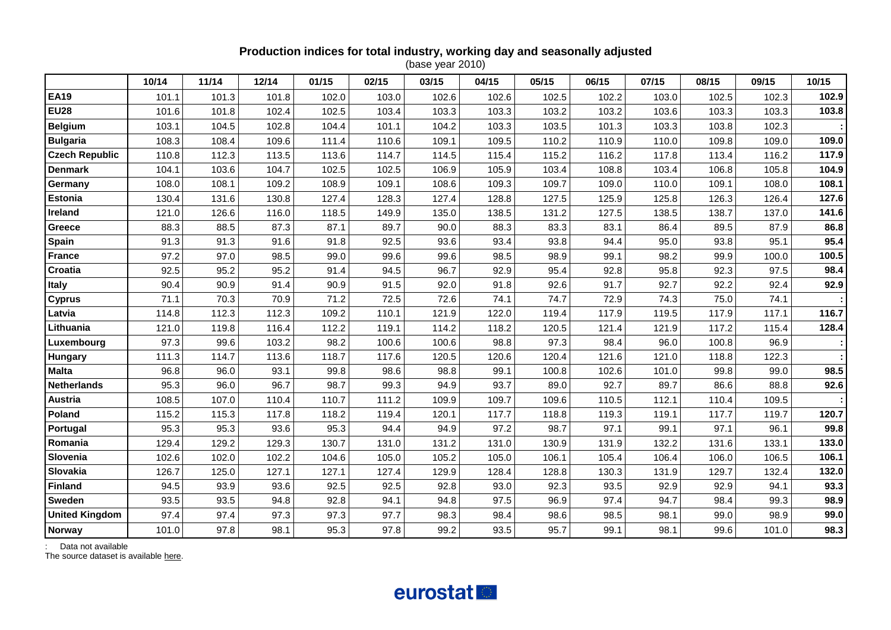# **Production indices for total industry, working day and seasonally adjusted**

(base year 2010)

|                       | 10/14 | 11/14 | 12/14 | 01/15 | 02/15 | 03/15 | 04/15 | 05/15 | 06/15 | 07/15 | 08/15 | 09/15 | 10/15 |
|-----------------------|-------|-------|-------|-------|-------|-------|-------|-------|-------|-------|-------|-------|-------|
| <b>EA19</b>           | 101.1 | 101.3 | 101.8 | 102.0 | 103.0 | 102.6 | 102.6 | 102.5 | 102.2 | 103.0 | 102.5 | 102.3 | 102.9 |
| <b>EU28</b>           | 101.6 | 101.8 | 102.4 | 102.5 | 103.4 | 103.3 | 103.3 | 103.2 | 103.2 | 103.6 | 103.3 | 103.3 | 103.8 |
| <b>Belgium</b>        | 103.1 | 104.5 | 102.8 | 104.4 | 101.1 | 104.2 | 103.3 | 103.5 | 101.3 | 103.3 | 103.8 | 102.3 |       |
| <b>Bulgaria</b>       | 108.3 | 108.4 | 109.6 | 111.4 | 110.6 | 109.1 | 109.5 | 110.2 | 110.9 | 110.0 | 109.8 | 109.0 | 109.0 |
| <b>Czech Republic</b> | 110.8 | 112.3 | 113.5 | 113.6 | 114.7 | 114.5 | 115.4 | 115.2 | 116.2 | 117.8 | 113.4 | 116.2 | 117.9 |
| <b>Denmark</b>        | 104.1 | 103.6 | 104.7 | 102.5 | 102.5 | 106.9 | 105.9 | 103.4 | 108.8 | 103.4 | 106.8 | 105.8 | 104.9 |
| Germany               | 108.0 | 108.1 | 109.2 | 108.9 | 109.1 | 108.6 | 109.3 | 109.7 | 109.0 | 110.0 | 109.1 | 108.0 | 108.1 |
| <b>Estonia</b>        | 130.4 | 131.6 | 130.8 | 127.4 | 128.3 | 127.4 | 128.8 | 127.5 | 125.9 | 125.8 | 126.3 | 126.4 | 127.6 |
| Ireland               | 121.0 | 126.6 | 116.0 | 118.5 | 149.9 | 135.0 | 138.5 | 131.2 | 127.5 | 138.5 | 138.7 | 137.0 | 141.6 |
| <b>Greece</b>         | 88.3  | 88.5  | 87.3  | 87.1  | 89.7  | 90.0  | 88.3  | 83.3  | 83.1  | 86.4  | 89.5  | 87.9  | 86.8  |
| Spain                 | 91.3  | 91.3  | 91.6  | 91.8  | 92.5  | 93.6  | 93.4  | 93.8  | 94.4  | 95.0  | 93.8  | 95.1  | 95.4  |
| <b>France</b>         | 97.2  | 97.0  | 98.5  | 99.0  | 99.6  | 99.6  | 98.5  | 98.9  | 99.1  | 98.2  | 99.9  | 100.0 | 100.5 |
| Croatia               | 92.5  | 95.2  | 95.2  | 91.4  | 94.5  | 96.7  | 92.9  | 95.4  | 92.8  | 95.8  | 92.3  | 97.5  | 98.4  |
| <b>Italy</b>          | 90.4  | 90.9  | 91.4  | 90.9  | 91.5  | 92.0  | 91.8  | 92.6  | 91.7  | 92.7  | 92.2  | 92.4  | 92.9  |
| <b>Cyprus</b>         | 71.1  | 70.3  | 70.9  | 71.2  | 72.5  | 72.6  | 74.1  | 74.7  | 72.9  | 74.3  | 75.0  | 74.1  |       |
| Latvia                | 114.8 | 112.3 | 112.3 | 109.2 | 110.1 | 121.9 | 122.0 | 119.4 | 117.9 | 119.5 | 117.9 | 117.1 | 116.7 |
| Lithuania             | 121.0 | 119.8 | 116.4 | 112.2 | 119.1 | 114.2 | 118.2 | 120.5 | 121.4 | 121.9 | 117.2 | 115.4 | 128.4 |
| Luxembourg            | 97.3  | 99.6  | 103.2 | 98.2  | 100.6 | 100.6 | 98.8  | 97.3  | 98.4  | 96.0  | 100.8 | 96.9  |       |
| Hungary               | 111.3 | 114.7 | 113.6 | 118.7 | 117.6 | 120.5 | 120.6 | 120.4 | 121.6 | 121.0 | 118.8 | 122.3 |       |
| <b>Malta</b>          | 96.8  | 96.0  | 93.1  | 99.8  | 98.6  | 98.8  | 99.1  | 100.8 | 102.6 | 101.0 | 99.8  | 99.0  | 98.5  |
| <b>Netherlands</b>    | 95.3  | 96.0  | 96.7  | 98.7  | 99.3  | 94.9  | 93.7  | 89.0  | 92.7  | 89.7  | 86.6  | 88.8  | 92.6  |
| <b>Austria</b>        | 108.5 | 107.0 | 110.4 | 110.7 | 111.2 | 109.9 | 109.7 | 109.6 | 110.5 | 112.1 | 110.4 | 109.5 |       |
| Poland                | 115.2 | 115.3 | 117.8 | 118.2 | 119.4 | 120.1 | 117.7 | 118.8 | 119.3 | 119.1 | 117.7 | 119.7 | 120.7 |
| Portugal              | 95.3  | 95.3  | 93.6  | 95.3  | 94.4  | 94.9  | 97.2  | 98.7  | 97.1  | 99.1  | 97.1  | 96.1  | 99.8  |
| Romania               | 129.4 | 129.2 | 129.3 | 130.7 | 131.0 | 131.2 | 131.0 | 130.9 | 131.9 | 132.2 | 131.6 | 133.1 | 133.0 |
| Slovenia              | 102.6 | 102.0 | 102.2 | 104.6 | 105.0 | 105.2 | 105.0 | 106.1 | 105.4 | 106.4 | 106.0 | 106.5 | 106.1 |
| Slovakia              | 126.7 | 125.0 | 127.1 | 127.1 | 127.4 | 129.9 | 128.4 | 128.8 | 130.3 | 131.9 | 129.7 | 132.4 | 132.0 |
| <b>Finland</b>        | 94.5  | 93.9  | 93.6  | 92.5  | 92.5  | 92.8  | 93.0  | 92.3  | 93.5  | 92.9  | 92.9  | 94.1  | 93.3  |
| Sweden                | 93.5  | 93.5  | 94.8  | 92.8  | 94.1  | 94.8  | 97.5  | 96.9  | 97.4  | 94.7  | 98.4  | 99.3  | 98.9  |
| <b>United Kingdom</b> | 97.4  | 97.4  | 97.3  | 97.3  | 97.7  | 98.3  | 98.4  | 98.6  | 98.5  | 98.1  | 99.0  | 98.9  | 99.0  |
| Norway                | 101.0 | 97.8  | 98.1  | 95.3  | 97.8  | 99.2  | 93.5  | 95.7  | 99.1  | 98.1  | 99.6  | 101.0 | 98.3  |

: Data not available

The source dataset is available [here.](http://appsso.eurostat.ec.europa.eu/nui/show.do?query=BOOKMARK_DS-069583_QID_58A8FBF4_UID_-3F171EB0&layout=TIME,C,X,0;GEO,L,Y,0;INDIC_BT,L,Z,0;NACE_R2,L,Z,1;S_ADJ,L,Z,2;INDICATORS,C,Z,3;&zSelection=DS-069583S_ADJ,SWDA;DS-069583INDIC_BT,PROD;DS-069583INDICATORS,OBS_FLAG;DS-069583NACE_R2,B-D;&rankName1=INDIC-BT_1_2_-1_2&rankName2=INDICATORS_1_2_-1_2&rankName3=S-ADJ_1_2_-1_2&rankName4=NACE-R2_1_2_-1_2&rankName5=TIME_1_0_0_0&rankName6=GEO_1_2_0_1&sortC=ASC_-1_FIRST&rStp=&cStp=&rDCh=&cDCh=&rDM=true&cDM=true&footnes=false&empty=false&wai=false&time_mode=ROLLING&time_most_recent=true&lang=EN&cfo=%23%23%23%2C%23%23%23.%23%23%23)